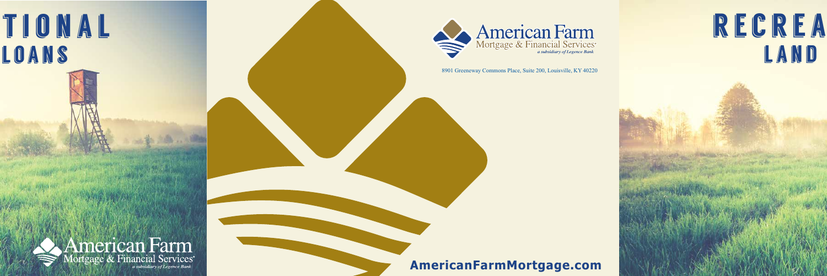



### **AmericanFarmMortgage.com**

# RECREA LAND



8901 Greeneway Commons Place, Suite 200, Louisville, KY 40220